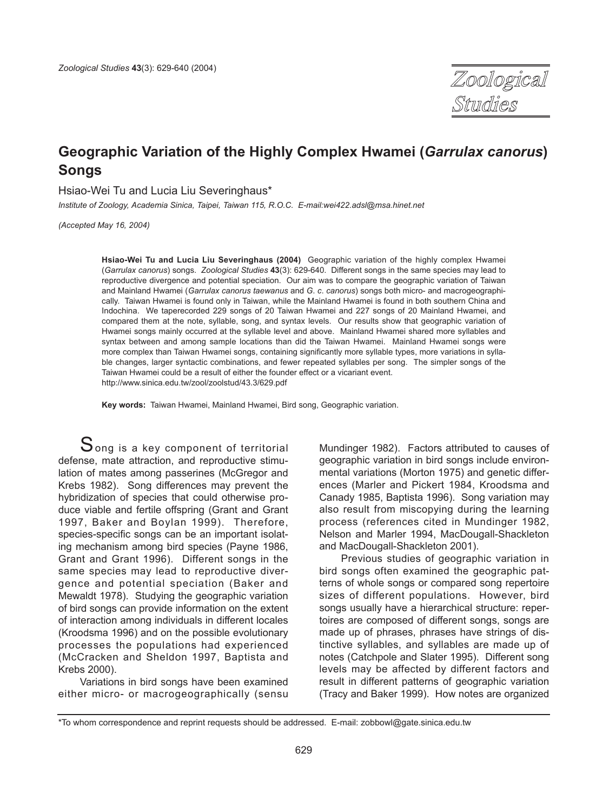

# **Geographic Variation of the Highly Complex Hwamei (***Garrulax canorus***) Songs**

Hsiao-Wei Tu and Lucia Liu Severinghaus\*

*Institute of Zoology, Academia Sinica, Taipei, Taiwan 115, R.O.C. E-mail:wei422.adsl@msa.hinet.net*

*(Accepted May 16, 2004)*

**Hsiao-Wei Tu and Lucia Liu Severinghaus (2004)** Geographic variation of the highly complex Hwamei (*Garrulax canorus*) songs. *Zoological Studies* **43**(3): 629-640. Different songs in the same species may lead to reproductive divergence and potential speciation. Our aim was to compare the geographic variation of Taiwan and Mainland Hwamei (*Garrulax canorus taewanus* and *G*. *c*. *canorus*) songs both micro- and macrogeographically. Taiwan Hwamei is found only in Taiwan, while the Mainland Hwamei is found in both southern China and Indochina. We taperecorded 229 songs of 20 Taiwan Hwamei and 227 songs of 20 Mainland Hwamei, and compared them at the note, syllable, song, and syntax levels. Our results show that geographic variation of Hwamei songs mainly occurred at the syllable level and above. Mainland Hwamei shared more syllables and syntax between and among sample locations than did the Taiwan Hwamei. Mainland Hwamei songs were more complex than Taiwan Hwamei songs, containing significantly more syllable types, more variations in syllable changes, larger syntactic combinations, and fewer repeated syllables per song. The simpler songs of the Taiwan Hwamei could be a result of either the founder effect or a vicariant event. http://www.sinica.edu.tw/zool/zoolstud/43.3/629.pdf

**Key words:** Taiwan Hwamei, Mainland Hwamei, Bird song, Geographic variation.

 $S$ ong is a key component of territorial defense, mate attraction, and reproductive stimulation of mates among passerines (McGregor and Krebs 1982). Song differences may prevent the hybridization of species that could otherwise produce viable and fertile offspring (Grant and Grant 1997, Baker and Boylan 1999). Therefore, species-specific songs can be an important isolating mechanism among bird species (Payne 1986, Grant and Grant 1996). Different songs in the same species may lead to reproductive divergence and potential speciation (Baker and Mewaldt 1978). Studying the geographic variation of bird songs can provide information on the extent of interaction among individuals in different locales (Kroodsma 1996) and on the possible evolutionary processes the populations had experienced (McCracken and Sheldon 1997, Baptista and Krebs 2000).

Variations in bird songs have been examined either micro- or macrogeographically (sensu Mundinger 1982). Factors attributed to causes of geographic variation in bird songs include environmental variations (Morton 1975) and genetic differences (Marler and Pickert 1984, Kroodsma and Canady 1985, Baptista 1996). Song variation may also result from miscopying during the learning process (references cited in Mundinger 1982, Nelson and Marler 1994, MacDougall-Shackleton and MacDougall-Shackleton 2001).

Previous studies of geographic variation in bird songs often examined the geographic patterns of whole songs or compared song repertoire sizes of different populations. However, bird songs usually have a hierarchical structure: repertoires are composed of different songs, songs are made up of phrases, phrases have strings of distinctive syllables, and syllables are made up of notes (Catchpole and Slater 1995). Different song levels may be affected by different factors and result in different patterns of geographic variation (Tracy and Baker 1999). How notes are organized

<sup>\*</sup>To whom correspondence and reprint requests should be addressed. E-mail: zobbowl@gate.sinica.edu.tw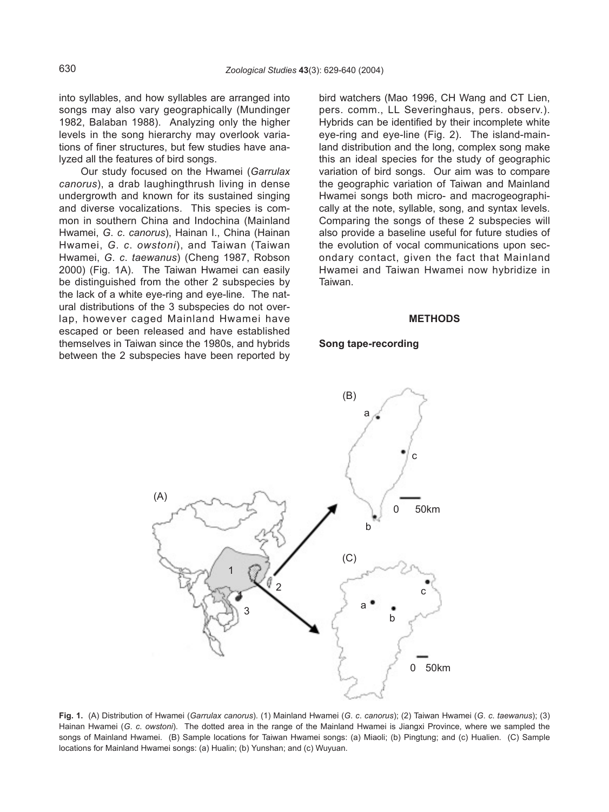into syllables, and how syllables are arranged into songs may also vary geographically (Mundinger 1982, Balaban 1988). Analyzing only the higher levels in the song hierarchy may overlook variations of finer structures, but few studies have analyzed all the features of bird songs.

Our study focused on the Hwamei (*Garrulax canorus*), a drab laughingthrush living in dense undergrowth and known for its sustained singing and diverse vocalizations. This species is common in southern China and Indochina (Mainland Hwamei, *G*. *c*. *canorus*), Hainan I., China (Hainan Hwamei, *G*. *c*. *owstoni*), and Taiwan (Taiwan Hwamei, *G*. *c*. *taewanus*) (Cheng 1987, Robson 2000) (Fig. 1A). The Taiwan Hwamei can easily be distinguished from the other 2 subspecies by the lack of a white eye-ring and eye-line. The natural distributions of the 3 subspecies do not overlap, however caged Mainland Hwamei have escaped or been released and have established themselves in Taiwan since the 1980s, and hybrids between the 2 subspecies have been reported by bird watchers (Mao 1996, CH Wang and CT Lien, pers. comm., LL Severinghaus, pers. observ.). Hybrids can be identified by their incomplete white eye-ring and eye-line (Fig. 2). The island-mainland distribution and the long, complex song make this an ideal species for the study of geographic variation of bird songs. Our aim was to compare the geographic variation of Taiwan and Mainland Hwamei songs both micro- and macrogeographically at the note, syllable, song, and syntax levels. Comparing the songs of these 2 subspecies will also provide a baseline useful for future studies of the evolution of vocal communications upon secondary contact, given the fact that Mainland Hwamei and Taiwan Hwamei now hybridize in Taiwan.

#### **METHODS**

#### **Song tape-recording**



**Fig. 1.** (A) Distribution of Hwamei (*Garrulax canorus*). (1) Mainland Hwamei (*G*. *c*. *canorus*); (2) Taiwan Hwamei (*G*. *c*. *taewanus*); (3) Hainan Hwamei (*G*. *c*. *owstoni*). The dotted area in the range of the Mainland Hwamei is Jiangxi Province, where we sampled the songs of Mainland Hwamei. (B) Sample locations for Taiwan Hwamei songs: (a) Miaoli; (b) Pingtung; and (c) Hualien. (C) Sample locations for Mainland Hwamei songs: (a) Hualin; (b) Yunshan; and (c) Wuyuan.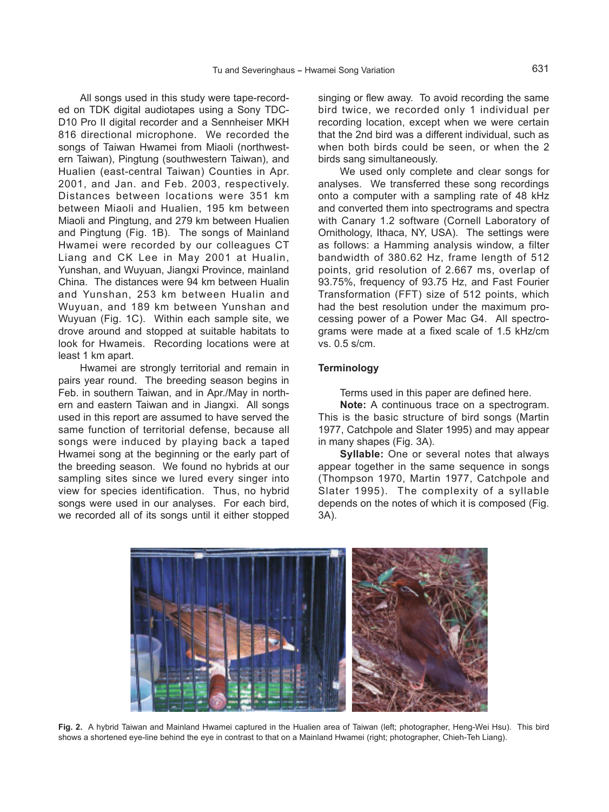All songs used in this study were tape-recorded on TDK digital audiotapes using a Sony TDC-D10 Pro II digital recorder and a Sennheiser MKH 816 directional microphone. We recorded the songs of Taiwan Hwamei from Miaoli (northwestern Taiwan), Pingtung (southwestern Taiwan), and Hualien (east-central Taiwan) Counties in Apr. 2001, and Jan. and Feb. 2003, respectively. Distances between locations were 351 km between Miaoli and Hualien, 195 km between Miaoli and Pingtung, and 279 km between Hualien and Pingtung (Fig. 1B). The songs of Mainland Hwamei were recorded by our colleagues CT Liang and CK Lee in May 2001 at Hualin, Yunshan, and Wuyuan, Jiangxi Province, mainland China. The distances were 94 km between Hualin and Yunshan, 253 km between Hualin and Wuyuan, and 189 km between Yunshan and Wuyuan (Fig. 1C). Within each sample site, we drove around and stopped at suitable habitats to look for Hwameis. Recording locations were at least 1 km apart.

Hwamei are strongly territorial and remain in pairs year round. The breeding season begins in Feb. in southern Taiwan, and in Apr./May in northern and eastern Taiwan and in Jiangxi. All songs used in this report are assumed to have served the same function of territorial defense, because all songs were induced by playing back a taped Hwamei song at the beginning or the early part of the breeding season. We found no hybrids at our sampling sites since we lured every singer into view for species identification. Thus, no hybrid songs were used in our analyses. For each bird, we recorded all of its songs until it either stopped singing or flew away. To avoid recording the same bird twice, we recorded only 1 individual per recording location, except when we were certain that the 2nd bird was a different individual, such as when both birds could be seen, or when the 2 birds sang simultaneously.

We used only complete and clear songs for analyses. We transferred these song recordings onto a computer with a sampling rate of 48 kHz and converted them into spectrograms and spectra with Canary 1.2 software (Cornell Laboratory of Ornithology, Ithaca, NY, USA). The settings were as follows: a Hamming analysis window, a filter bandwidth of 380.62 Hz, frame length of 512 points, grid resolution of 2.667 ms, overlap of 93.75%, frequency of 93.75 Hz, and Fast Fourier Transformation (FFT) size of 512 points, which had the best resolution under the maximum processing power of a Power Mac G4. All spectrograms were made at a fixed scale of 1.5 kHz/cm vs. 0.5 s/cm.

## **Terminology**

Terms used in this paper are defined here.

**Note:** A continuous trace on a spectrogram. This is the basic structure of bird songs (Martin 1977, Catchpole and Slater 1995) and may appear in many shapes (Fig. 3A).

**Syllable:** One or several notes that always appear together in the same sequence in songs (Thompson 1970, Martin 1977, Catchpole and Slater 1995). The complexity of a syllable depends on the notes of which it is composed (Fig. 3A).



**Fig. 2.** A hybrid Taiwan and Mainland Hwamei captured in the Hualien area of Taiwan (left; photographer, Heng-Wei Hsu). This bird shows a shortened eye-line behind the eye in contrast to that on a Mainland Hwamei (right; photographer, Chieh-Teh Liang).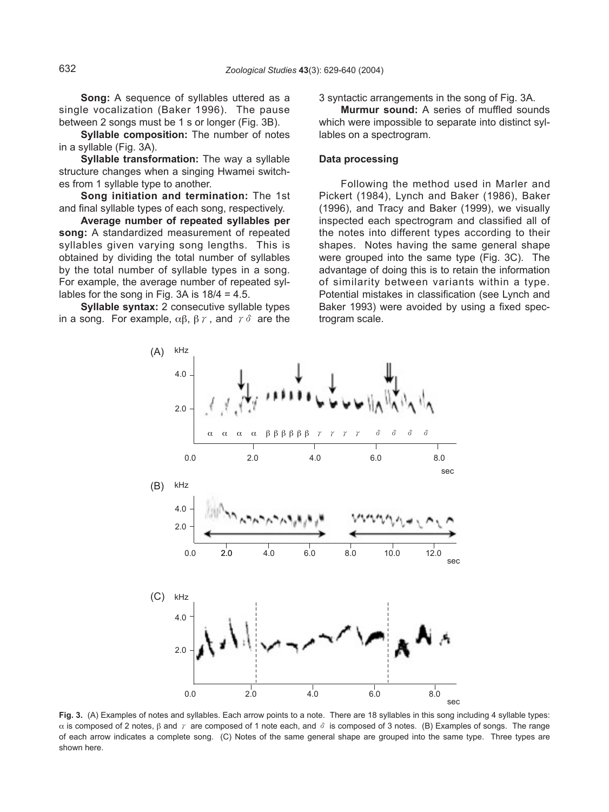**Song:** A sequence of syllables uttered as a single vocalization (Baker 1996). The pause between 2 songs must be 1 s or longer (Fig. 3B).

**Syllable composition:** The number of notes in a syllable (Fig. 3A).

**Syllable transformation:** The way a syllable structure changes when a singing Hwamei switches from 1 syllable type to another.

**Song initiation and termination:** The 1st and final syllable types of each song, respectively.

**Average number of repeated syllables per song:** A standardized measurement of repeated syllables given varying song lengths. This is obtained by dividing the total number of syllables by the total number of syllable types in a song. For example, the average number of repeated syllables for the song in Fig. 3A is  $18/4 = 4.5$ .

**Syllable syntax:** 2 consecutive syllable types in a song. For example,  $\alpha\beta$ ,  $\beta\gamma$ , and  $\gamma\delta$  are the

3 syntactic arrangements in the song of Fig. 3A.

**Murmur sound:** A series of muffled sounds which were impossible to separate into distinct syllables on a spectrogram.

# **Data processing**

Following the method used in Marler and Pickert (1984), Lynch and Baker (1986), Baker (1996), and Tracy and Baker (1999), we visually inspected each spectrogram and classified all of the notes into different types according to their shapes. Notes having the same general shape were grouped into the same type (Fig. 3C). The advantage of doing this is to retain the information of similarity between variants within a type. Potential mistakes in classification (see Lynch and Baker 1993) were avoided by using a fixed spectrogram scale.



**Fig. 3.** (A) Examples of notes and syllables. Each arrow points to a note. There are 18 syllables in this song including 4 syllable types: α is composed of 2 notes,  $β$  and  $γ$  are composed of 1 note each, and  $\delta$  is composed of 3 notes. (B) Examples of songs. The range of each arrow indicates a complete song. (C) Notes of the same general shape are grouped into the same type. Three types are shown here.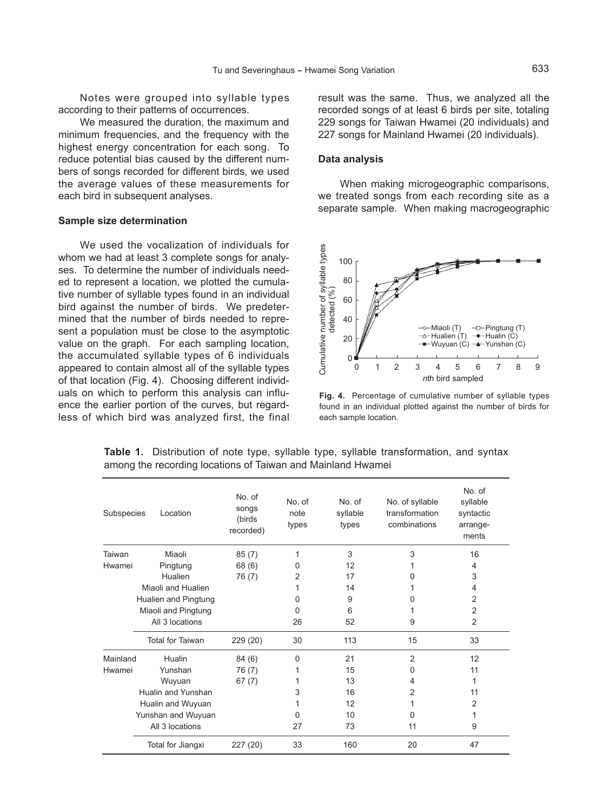Notes were grouped into syllable types according to their patterns of occurrences.

We measured the duration, the maximum and minimum frequencies, and the frequency with the highest energy concentration for each song. To reduce potential bias caused by the different numbers of songs recorded for different birds, we used the average values of these measurements for each bird in subsequent analyses.

#### **Sample size determination**

We used the vocalization of individuals for whom we had at least 3 complete songs for analyses. To determine the number of individuals needed to represent a location, we plotted the cumulative number of syllable types found in an individual bird against the number of birds. We predetermined that the number of birds needed to represent a population must be close to the asymptotic value on the graph. For each sampling location, the accumulated syllable types of 6 individuals appeared to contain almost all of the syllable types of that location (Fig. 4). Choosing different individuals on which to perform this analysis can influence the earlier portion of the curves, but regardless of which bird was analyzed first, the final

result was the same. Thus, we analyzed all the recorded songs of at least 6 birds per site, totaling 229 songs for Taiwan Hwamei (20 individuals) and 227 songs for Mainland Hwamei (20 individuals).

#### **Data analysis**

When making microgeographic comparisons, we treated songs from each recording site as a separate sample. When making macrogeographic



**Fig. 4.** Percentage of cumulative number of syllable types found in an individual plotted against the number of birds for each sample location.

| Subspecies                              | Location                | No. of<br>songs<br>(birds<br>recorded) | No. of<br>note<br>types | No. of<br>syllable<br>types | No. of syllable<br>transformation<br>combinations | No. of<br>syllable<br>syntactic<br>arrange-<br>ments |
|-----------------------------------------|-------------------------|----------------------------------------|-------------------------|-----------------------------|---------------------------------------------------|------------------------------------------------------|
| Taiwan                                  | Miaoli                  | 85(7)                                  | 1                       | 3                           | 3                                                 | 16                                                   |
| Hwamei                                  | Pingtung                | 68 (6)                                 | 0                       | 12                          |                                                   | 4                                                    |
|                                         | Hualien                 | 76 (7)                                 | 2                       | 17                          | O                                                 | 3                                                    |
|                                         | Miaoli and Hualien      |                                        |                         | 14                          |                                                   | 4                                                    |
|                                         | Hualien and Pingtung    |                                        | <sup>0</sup>            | 9                           | U                                                 | 2                                                    |
|                                         | Miaoli and Pingtung     |                                        | <sup>0</sup>            | 6                           |                                                   | $\overline{2}$                                       |
|                                         | All 3 locations         |                                        | 26                      | 52                          | 9                                                 | $\overline{2}$                                       |
|                                         | <b>Total for Taiwan</b> | 229 (20)                               | 30                      | 113                         | 15                                                | 33                                                   |
| Mainland                                | Hualin                  | 84 (6)                                 | $\Omega$                | 21                          | $\overline{2}$                                    | 12                                                   |
| Hwamei                                  | Yunshan                 | 76 (7)                                 |                         | 15                          | 0                                                 | 11                                                   |
|                                         | Wuyuan                  | 67(7)                                  |                         | 13                          | 4                                                 | 1                                                    |
|                                         | Hualin and Yunshan      |                                        | 3                       | 16                          | 2                                                 | 11                                                   |
| Hualin and Wuyuan<br>Yunshan and Wuyuan |                         |                                        |                         | 12                          |                                                   | 2                                                    |
|                                         |                         |                                        | $\Omega$                | 10                          | 0                                                 | 1                                                    |
|                                         | All 3 locations         |                                        | 27                      | 73                          | 11                                                | 9                                                    |
|                                         | Total for Jiangxi       | 227 (20)                               | 33                      | 160                         | 20                                                | 47                                                   |

**Table 1.** Distribution of note type, syllable type, syllable transformation, and syntax among the recording locations of Taiwan and Mainland Hwamei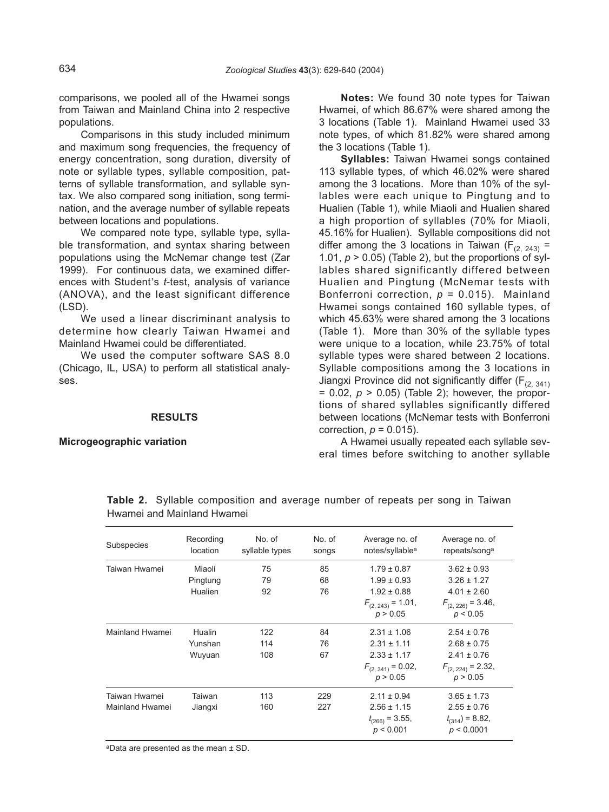comparisons, we pooled all of the Hwamei songs from Taiwan and Mainland China into 2 respective populations.

Comparisons in this study included minimum and maximum song frequencies, the frequency of energy concentration, song duration, diversity of note or syllable types, syllable composition, patterns of syllable transformation, and syllable syntax. We also compared song initiation, song termination, and the average number of syllable repeats between locations and populations.

We compared note type, syllable type, syllable transformation, and syntax sharing between populations using the McNemar change test (Zar 1999). For continuous data, we examined differences with Student, s *t*-test, analysis of variance (ANOVA), and the least significant difference (LSD).

We used a linear discriminant analysis to determine how clearly Taiwan Hwamei and Mainland Hwamei could be differentiated.

We used the computer software SAS 8.0 (Chicago, IL, USA) to perform all statistical analyses.

# **RESULTS**

#### **Microgeographic variation**

**Notes:** We found 30 note types for Taiwan Hwamei, of which 86.67% were shared among the 3 locations (Table 1). Mainland Hwamei used 33 note types, of which 81.82% were shared among the 3 locations (Table 1).

**Syllables:** Taiwan Hwamei songs contained 113 syllable types, of which 46.02% were shared among the 3 locations. More than 10% of the syllables were each unique to Pingtung and to Hualien (Table 1), while Miaoli and Hualien shared a high proportion of syllables (70% for Miaoli, 45.16% for Hualien). Syllable compositions did not differ among the 3 locations in Taiwan ( $F_{(2, 243)}$  = 1.01,  $p > 0.05$ ) (Table 2), but the proportions of syllables shared significantly differed between Hualien and Pingtung (McNemar tests with Bonferroni correction, *p* = 0.015). Mainland Hwamei songs contained 160 syllable types, of which 45.63% were shared among the 3 locations (Table 1). More than 30% of the syllable types were unique to a location, while 23.75% of total syllable types were shared between 2 locations. Syllable compositions among the 3 locations in Jiangxi Province did not significantly differ ( $F_{(2, 341)}$ )  $= 0.02$ ,  $p > 0.05$ ) (Table 2); however, the proportions of shared syllables significantly differed between locations (McNemar tests with Bonferroni correction,  $p = 0.015$ ).

A Hwamei usually repeated each syllable several times before switching to another syllable

| Subspecies      | Recording<br>location | No. of<br>syllable types | No. of<br>songs | Average no. of<br>notes/syllable <sup>a</sup> | Average no. of<br>repeats/song <sup>a</sup> |
|-----------------|-----------------------|--------------------------|-----------------|-----------------------------------------------|---------------------------------------------|
| Taiwan Hwamei   | Miaoli                | 75                       | 85              | $1.79 \pm 0.87$                               | $3.62 \pm 0.93$                             |
|                 | Pingtung              | 79                       | 68              | $1.99 \pm 0.93$                               | $3.26 \pm 1.27$                             |
|                 | Hualien               | 92                       | 76              | $1.92 \pm 0.88$                               | $4.01 \pm 2.60$                             |
|                 |                       |                          |                 | $F_{(2, 243)} = 1.01$ ,<br>p > 0.05           | $F_{(2, 226)} = 3.46$ ,<br>p < 0.05         |
| Mainland Hwamei | Hualin                | 122                      | 84              | $2.31 \pm 1.06$                               | $2.54 \pm 0.76$                             |
|                 | Yunshan               | 114                      | 76              | $2.31 \pm 1.11$                               | $2.68 \pm 0.75$                             |
|                 | Wuyuan                | 108                      | 67              | $2.33 \pm 1.17$                               | $2.41 \pm 0.76$                             |
|                 |                       |                          |                 | $F_{(2, 341)} = 0.02$ ,<br>p > 0.05           | $F_{(2, 224)} = 2.32$ ,<br>p > 0.05         |
| Taiwan Hwamei   | Taiwan                | 113                      | 229             | $2.11 \pm 0.94$                               | $3.65 \pm 1.73$                             |
| Mainland Hwamei | Jiangxi               | 160                      | 227             | $2.56 \pm 1.15$                               | $2.55 \pm 0.76$                             |
|                 |                       |                          |                 | $t_{(266)} = 3.55$ ,                          | $t_{(314)} = 8.82,$                         |
|                 |                       |                          |                 | p < 0.001                                     | p < 0.0001                                  |

**Table 2.** Syllable composition and average number of repeats per song in Taiwan Hwamei and Mainland Hwamei

aData are presented as the mean ± SD.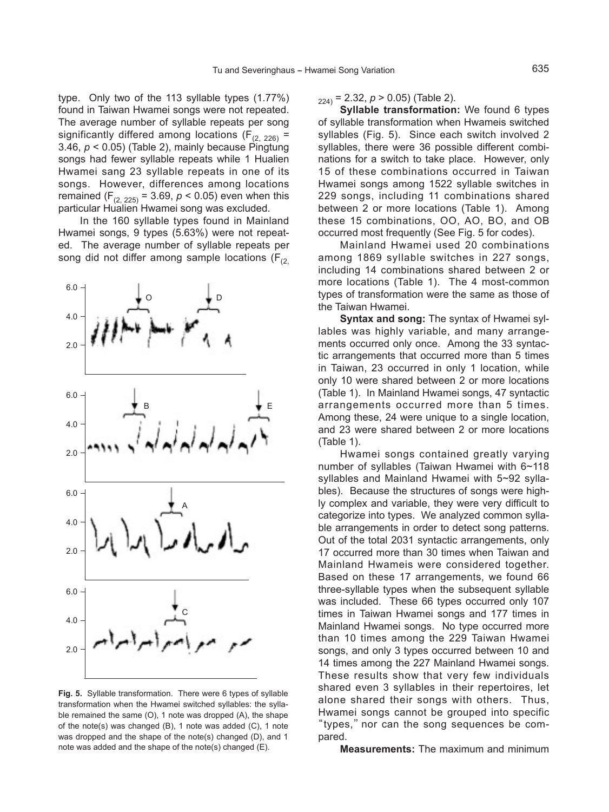type. Only two of the 113 syllable types (1.77%) found in Taiwan Hwamei songs were not repeated. The average number of syllable repeats per song significantly differed among locations ( $F_{(2, 226)}$  = 3.46, *p* < 0.05) (Table 2), mainly because Pingtung songs had fewer syllable repeats while 1 Hualien Hwamei sang 23 syllable repeats in one of its songs. However, differences among locations remained  $(F_{(2, 225)} = 3.69, p < 0.05)$  even when this particular Hualien Hwamei song was excluded.

In the 160 syllable types found in Mainland Hwamei songs, 9 types (5.63%) were not repeated. The average number of syllable repeats per song did not differ among sample locations ( $F_{(2)}$ 



**Fig. 5.** Syllable transformation. There were 6 types of syllable transformation when the Hwamei switched syllables: the syllable remained the same (O), 1 note was dropped (A), the shape of the note(s) was changed (B), 1 note was added (C), 1 note was dropped and the shape of the note(s) changed (D), and 1 note was added and the shape of the note(s) changed (E).

 $_{224)}$  = 2.32,  $p > 0.05$ ) (Table 2).

**Syllable transformation:** We found 6 types of syllable transformation when Hwameis switched syllables (Fig. 5). Since each switch involved 2 syllables, there were 36 possible different combinations for a switch to take place. However, only 15 of these combinations occurred in Taiwan Hwamei songs among 1522 syllable switches in 229 songs, including 11 combinations shared between 2 or more locations (Table 1). Among these 15 combinations, OO, AO, BO, and OB occurred most frequently (See Fig. 5 for codes).

Mainland Hwamei used 20 combinations among 1869 syllable switches in 227 songs, including 14 combinations shared between 2 or more locations (Table 1). The 4 most-common types of transformation were the same as those of the Taiwan Hwamei.

**Syntax and song:** The syntax of Hwamei syllables was highly variable, and many arrangements occurred only once. Among the 33 syntactic arrangements that occurred more than 5 times in Taiwan, 23 occurred in only 1 location, while only 10 were shared between 2 or more locations (Table 1). In Mainland Hwamei songs, 47 syntactic arrangements occurred more than 5 times. Among these, 24 were unique to a single location, and 23 were shared between 2 or more locations (Table 1).

Hwamei songs contained greatly varying number of syllables (Taiwan Hwamei with 6~118 syllables and Mainland Hwamei with 5~92 syllables). Because the structures of songs were highly complex and variable, they were very difficult to categorize into types. We analyzed common syllable arrangements in order to detect song patterns. Out of the total 2031 syntactic arrangements, only 17 occurred more than 30 times when Taiwan and Mainland Hwameis were considered together. Based on these 17 arrangements, we found 66 three-syllable types when the subsequent syllable was included. These 66 types occurred only 107 times in Taiwan Hwamei songs and 177 times in Mainland Hwamei songs. No type occurred more than 10 times among the 229 Taiwan Hwamei songs, and only 3 types occurred between 10 and 14 times among the 227 Mainland Hwamei songs. These results show that very few individuals shared even 3 syllables in their repertoires, let alone shared their songs with others. Thus, Hwamei songs cannot be grouped into specific "types,"nor can the song sequences be compared.

**Measurements:** The maximum and minimum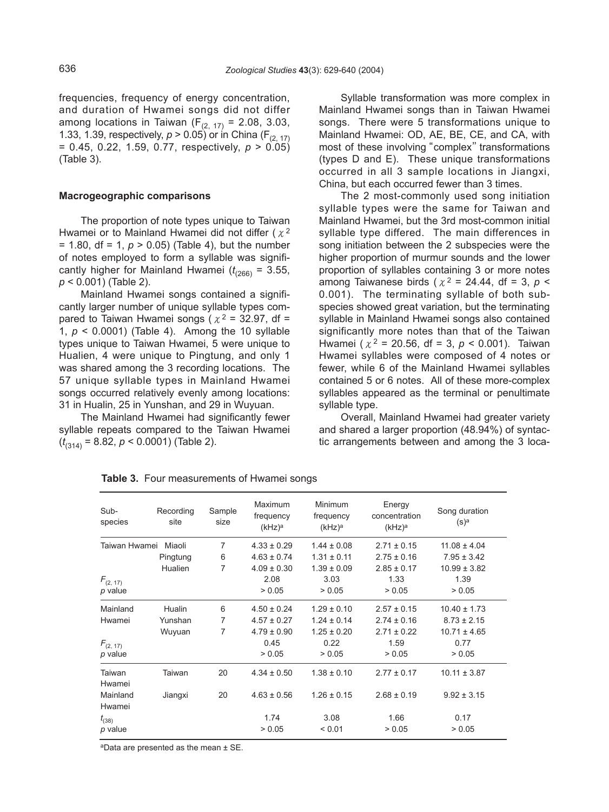frequencies, frequency of energy concentration, and duration of Hwamei songs did not differ among locations in Taiwan ( $F_{(2, 17)}$  = 2.08, 3.03, 1.33, 1.39, respectively,  $p > 0.05$ ) or in China (F<sub>(2, 17)</sub> = 0.45, 0.22, 1.59, 0.77, respectively, *p* > 0.05) (Table 3).

# **Macrogeographic comparisons**

The proportion of note types unique to Taiwan Hwamei or to Mainland Hwamei did not differ  $(x^2)$  $= 1.80$ , df  $= 1$ ,  $p > 0.05$ ) (Table 4), but the number of notes employed to form a syllable was significantly higher for Mainland Hwamei  $(t_{266})$  = 3.55, *p* < 0.001) (Table 2).

Mainland Hwamei songs contained a significantly larger number of unique syllable types compared to Taiwan Hwamei songs ( $x^2 = 32.97$ , df = 1, *p* < 0.0001) (Table 4). Among the 10 syllable types unique to Taiwan Hwamei, 5 were unique to Hualien, 4 were unique to Pingtung, and only 1 was shared among the 3 recording locations. The 57 unique syllable types in Mainland Hwamei songs occurred relatively evenly among locations: 31 in Hualin, 25 in Yunshan, and 29 in Wuyuan.

The Mainland Hwamei had significantly fewer syllable repeats compared to the Taiwan Hwamei (*t* (314) = 8.82, *p* < 0.0001) (Table 2).

Syllable transformation was more complex in Mainland Hwamei songs than in Taiwan Hwamei songs. There were 5 transformations unique to Mainland Hwamei: OD, AE, BE, CE, and CA, with most of these involving "complex" transformations (types D and E). These unique transformations occurred in all 3 sample locations in Jiangxi, China, but each occurred fewer than 3 times.

The 2 most-commonly used song initiation syllable types were the same for Taiwan and Mainland Hwamei, but the 3rd most-common initial syllable type differed. The main differences in song initiation between the 2 subspecies were the higher proportion of murmur sounds and the lower proportion of syllables containing 3 or more notes among Taiwanese birds ( $\chi^2$  = 24.44, df = 3,  $p$  < 0.001). The terminating syllable of both subspecies showed great variation, but the terminating syllable in Mainland Hwamei songs also contained significantly more notes than that of the Taiwan Hwamei (χ<sup>2</sup> = 20.56, df = 3, *p* < 0.001). Taiwan Hwamei syllables were composed of 4 notes or fewer, while 6 of the Mainland Hwamei syllables contained 5 or 6 notes. All of these more-complex syllables appeared as the terminal or penultimate syllable type.

Overall, Mainland Hwamei had greater variety and shared a larger proportion (48.94%) of syntactic arrangements between and among the 3 loca-

| Sub-<br>species                           | Recording<br>site | Sample<br>size | Maximum<br>frequency<br>(kHz) <sup>a</sup> | Minimum<br>frequency<br>(kHz) <sup>a</sup> | Energy<br>concentration<br>(kHz) <sup>a</sup> | Song duration<br>$(s)$ <sup>a</sup> |
|-------------------------------------------|-------------------|----------------|--------------------------------------------|--------------------------------------------|-----------------------------------------------|-------------------------------------|
| $\overline{7}$<br>Taiwan Hwamei<br>Miaoli |                   |                | $4.33 \pm 0.29$                            | $1.44 \pm 0.08$                            | $2.71 \pm 0.15$                               | $11.08 \pm 4.04$                    |
|                                           | Pingtung          | 6              | $4.63 \pm 0.74$                            | $1.31 \pm 0.11$                            | $2.75 \pm 0.16$                               | $7.95 \pm 3.42$                     |
|                                           | Hualien           | 7              | $4.09 \pm 0.30$                            | $1.39 \pm 0.09$                            | $2.85 \pm 0.17$                               | $10.99 \pm 3.82$                    |
| $F_{(2, 17)}$                             |                   |                | 2.08                                       | 3.03                                       | 1.33                                          | 1.39                                |
| p value                                   |                   |                | > 0.05                                     | > 0.05                                     | > 0.05                                        | > 0.05                              |
| Mainland                                  | Hualin            | 6              | $4.50 \pm 0.24$                            | $1.29 \pm 0.10$                            | $2.57 \pm 0.15$                               | $10.40 \pm 1.73$                    |
| Hwamei                                    | Yunshan           | 7              | $4.57 \pm 0.27$                            | $1.24 \pm 0.14$                            | $2.74 \pm 0.16$                               | $8.73 \pm 2.15$                     |
|                                           | Wuyuan            | 7              | $4.79 \pm 0.90$                            | $1.25 \pm 0.20$                            | $2.71 \pm 0.22$                               | $10.71 \pm 4.65$                    |
| $F_{(2, 17)}$                             |                   |                | 0.45                                       | 0.22                                       | 1.59                                          | 0.77                                |
| p value                                   |                   |                | > 0.05                                     | > 0.05                                     | > 0.05                                        | > 0.05                              |
| Taiwan<br>Hwamei                          | Taiwan            | 20             | $4.34 \pm 0.50$                            | $1.38 \pm 0.10$                            | $2.77 \pm 0.17$                               | $10.11 \pm 3.87$                    |
| Mainland                                  | Jiangxi           | 20             | $4.63 \pm 0.56$                            | $1.26 \pm 0.15$                            | $2.68 \pm 0.19$                               | $9.92 \pm 3.15$                     |
| Hwamei                                    |                   |                |                                            |                                            |                                               |                                     |
| $t_{(38)}$                                |                   |                | 1.74                                       | 3.08                                       | 1.66                                          | 0.17                                |
| p value                                   |                   |                | > 0.05                                     | < 0.01                                     | > 0.05                                        | > 0.05                              |

**Table 3.** Four measurements of Hwamei songs

aData are presented as the mean ± SE.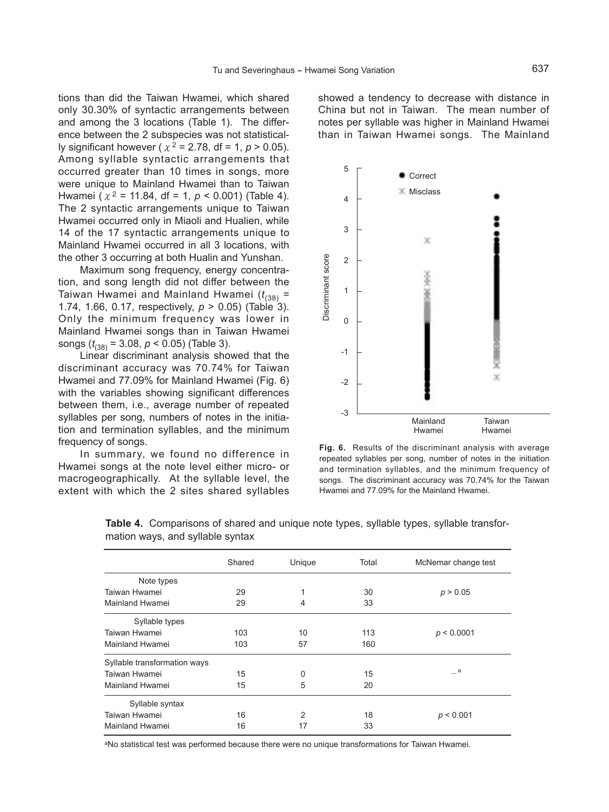tions than did the Taiwan Hwamei, which shared only 30.30% of syntactic arrangements between and among the 3 locations (Table 1). The difference between the 2 subspecies was not statistically significant however ( $\chi^2$  = 2.78, df = 1,  $p > 0.05$ ). Among syllable syntactic arrangements that occurred greater than 10 times in songs, more were unique to Mainland Hwamei than to Taiwan Hwamei ( $\chi^2$  = 11.84, df = 1,  $p < 0.001$ ) (Table 4). The 2 syntactic arrangements unique to Taiwan Hwamei occurred only in Miaoli and Hualien, while 14 of the 17 syntactic arrangements unique to Mainland Hwamei occurred in all 3 locations, with the other 3 occurring at both Hualin and Yunshan.

Maximum song frequency, energy concentration, and song length did not differ between the Taiwan Hwamei and Mainland Hwamei  $(t_{(38)} =$ 1.74, 1.66, 0.17, respectively, *p* > 0.05) (Table 3). Only the minimum frequency was lower in Mainland Hwamei songs than in Taiwan Hwamei songs (*t* (38) = 3.08, *p* < 0.05) (Table 3).

Linear discriminant analysis showed that the discriminant accuracy was 70.74% for Taiwan Hwamei and 77.09% for Mainland Hwamei (Fig. 6) with the variables showing significant differences between them, i.e., average number of repeated syllables per song, numbers of notes in the initiation and termination syllables, and the minimum frequency of songs.

In summary, we found no difference in Hwamei songs at the note level either micro- or macrogeographically. At the syllable level, the extent with which the 2 sites shared syllables showed a tendency to decrease with distance in China but not in Taiwan. The mean number of notes per syllable was higher in Mainland Hwamei than in Taiwan Hwamei songs. The Mainland



**Fig. 6.** Results of the discriminant analysis with average repeated syllables per song, number of notes in the initiation and termination syllables, and the minimum frequency of songs. The discriminant accuracy was 70.74% for the Taiwan Hwamei and 77.09% for the Mainland Hwamei.

|                              | Shared | Unique | Total | McNemar change test |
|------------------------------|--------|--------|-------|---------------------|
| Note types                   |        |        |       |                     |
| Taiwan Hwamei                | 29     |        | 30    | p > 0.05            |
| Mainland Hwamei              | 29     | 4      | 33    |                     |
| Syllable types               |        |        |       |                     |
| Taiwan Hwamei                | 103    | 10     | 113   | p < 0.0001          |
| Mainland Hwamei              | 103    | 57     | 160   |                     |
| Syllable transformation ways |        |        |       |                     |
| Taiwan Hwamei                | 15     | 0      | 15    | a a                 |
| Mainland Hwamei              | 15     | 5      | 20    |                     |
| Syllable syntax              |        |        |       |                     |
| Taiwan Hwamei                | 16     | 2      | 18    | p < 0.001           |
| Mainland Hwamei              | 16     | 17     | 33    |                     |

**Table 4.** Comparisons of shared and unique note types, syllable types, syllable transformation ways, and syllable syntax

aNo statistical test was performed because there were no unique transformations for Taiwan Hwamei.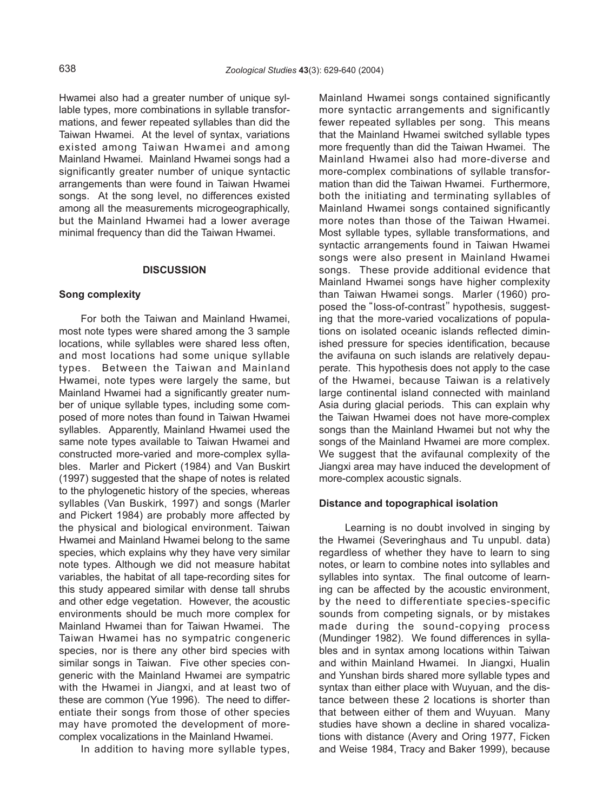Hwamei also had a greater number of unique syllable types, more combinations in syllable transformations, and fewer repeated syllables than did the Taiwan Hwamei. At the level of syntax, variations existed among Taiwan Hwamei and among Mainland Hwamei. Mainland Hwamei songs had a significantly greater number of unique syntactic arrangements than were found in Taiwan Hwamei songs. At the song level, no differences existed among all the measurements microgeographically, but the Mainland Hwamei had a lower average minimal frequency than did the Taiwan Hwamei.

#### **DISCUSSION**

#### **Song complexity**

For both the Taiwan and Mainland Hwamei, most note types were shared among the 3 sample locations, while syllables were shared less often, and most locations had some unique syllable types. Between the Taiwan and Mainland Hwamei, note types were largely the same, but Mainland Hwamei had a significantly greater number of unique syllable types, including some composed of more notes than found in Taiwan Hwamei syllables. Apparently, Mainland Hwamei used the same note types available to Taiwan Hwamei and constructed more-varied and more-complex syllables. Marler and Pickert (1984) and Van Buskirt (1997) suggested that the shape of notes is related to the phylogenetic history of the species, whereas syllables (Van Buskirk, 1997) and songs (Marler and Pickert 1984) are probably more affected by the physical and biological environment. Taiwan Hwamei and Mainland Hwamei belong to the same species, which explains why they have very similar note types. Although we did not measure habitat variables, the habitat of all tape-recording sites for this study appeared similar with dense tall shrubs and other edge vegetation. However, the acoustic environments should be much more complex for Mainland Hwamei than for Taiwan Hwamei. The Taiwan Hwamei has no sympatric congeneric species, nor is there any other bird species with similar songs in Taiwan. Five other species congeneric with the Mainland Hwamei are sympatric with the Hwamei in Jiangxi, and at least two of these are common (Yue 1996). The need to differentiate their songs from those of other species may have promoted the development of morecomplex vocalizations in the Mainland Hwamei.

In addition to having more syllable types,

Mainland Hwamei songs contained significantly more syntactic arrangements and significantly fewer repeated syllables per song. This means that the Mainland Hwamei switched syllable types more frequently than did the Taiwan Hwamei. The Mainland Hwamei also had more-diverse and more-complex combinations of syllable transformation than did the Taiwan Hwamei. Furthermore, both the initiating and terminating syllables of Mainland Hwamei songs contained significantly more notes than those of the Taiwan Hwamei. Most syllable types, syllable transformations, and syntactic arrangements found in Taiwan Hwamei songs were also present in Mainland Hwamei songs. These provide additional evidence that Mainland Hwamei songs have higher complexity than Taiwan Hwamei songs. Marler (1960) proposed the"loss-of-contrast"hypothesis, suggesting that the more-varied vocalizations of populations on isolated oceanic islands reflected diminished pressure for species identification, because the avifauna on such islands are relatively depauperate. This hypothesis does not apply to the case of the Hwamei, because Taiwan is a relatively large continental island connected with mainland Asia during glacial periods. This can explain why the Taiwan Hwamei does not have more-complex songs than the Mainland Hwamei but not why the songs of the Mainland Hwamei are more complex. We suggest that the avifaunal complexity of the Jiangxi area may have induced the development of more-complex acoustic signals.

#### **Distance and topographical isolation**

Learning is no doubt involved in singing by the Hwamei (Severinghaus and Tu unpubl. data) regardless of whether they have to learn to sing notes, or learn to combine notes into syllables and syllables into syntax. The final outcome of learning can be affected by the acoustic environment, by the need to differentiate species-specific sounds from competing signals, or by mistakes made during the sound-copying process (Mundinger 1982). We found differences in syllables and in syntax among locations within Taiwan and within Mainland Hwamei. In Jiangxi, Hualin and Yunshan birds shared more syllable types and syntax than either place with Wuyuan, and the distance between these 2 locations is shorter than that between either of them and Wuyuan. Many studies have shown a decline in shared vocalizations with distance (Avery and Oring 1977, Ficken and Weise 1984, Tracy and Baker 1999), because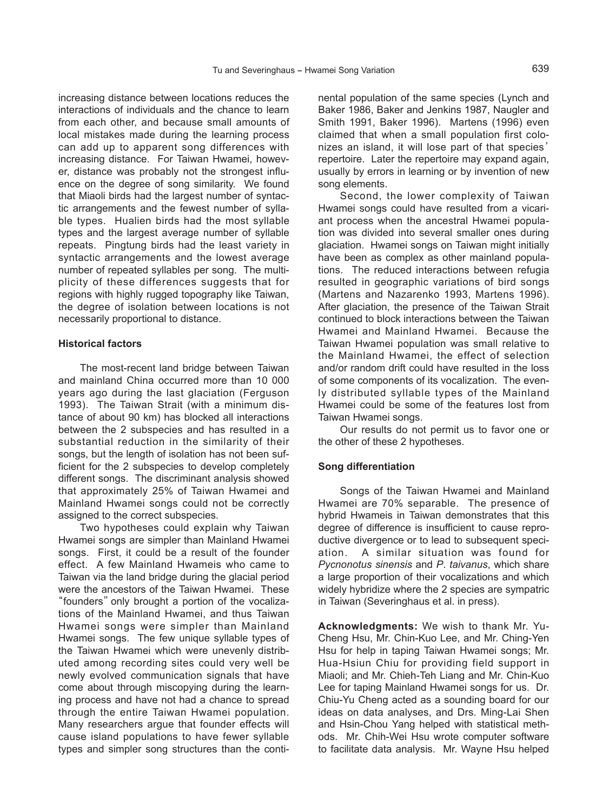increasing distance between locations reduces the interactions of individuals and the chance to learn from each other, and because small amounts of local mistakes made during the learning process can add up to apparent song differences with increasing distance. For Taiwan Hwamei, however, distance was probably not the strongest influence on the degree of song similarity. We found that Miaoli birds had the largest number of syntactic arrangements and the fewest number of syllable types. Hualien birds had the most syllable types and the largest average number of syllable repeats. Pingtung birds had the least variety in syntactic arrangements and the lowest average number of repeated syllables per song. The multiplicity of these differences suggests that for regions with highly rugged topography like Taiwan, the degree of isolation between locations is not necessarily proportional to distance.

## **Historical factors**

The most-recent land bridge between Taiwan and mainland China occurred more than 10 000 years ago during the last glaciation (Ferguson 1993). The Taiwan Strait (with a minimum distance of about 90 km) has blocked all interactions between the 2 subspecies and has resulted in a substantial reduction in the similarity of their songs, but the length of isolation has not been sufficient for the 2 subspecies to develop completely different songs. The discriminant analysis showed that approximately 25% of Taiwan Hwamei and Mainland Hwamei songs could not be correctly assigned to the correct subspecies.

Two hypotheses could explain why Taiwan Hwamei songs are simpler than Mainland Hwamei songs. First, it could be a result of the founder effect. A few Mainland Hwameis who came to Taiwan via the land bridge during the glacial period were the ancestors of the Taiwan Hwamei. These "founders"only brought a portion of the vocalizations of the Mainland Hwamei, and thus Taiwan Hwamei songs were simpler than Mainland Hwamei songs. The few unique syllable types of the Taiwan Hwamei which were unevenly distributed among recording sites could very well be newly evolved communication signals that have come about through miscopying during the learning process and have not had a chance to spread through the entire Taiwan Hwamei population. Many researchers argue that founder effects will cause island populations to have fewer syllable types and simpler song structures than the continental population of the same species (Lynch and Baker 1986, Baker and Jenkins 1987, Naugler and Smith 1991, Baker 1996). Martens (1996) even claimed that when a small population first colonizes an island, it will lose part of that species' repertoire. Later the repertoire may expand again, usually by errors in learning or by invention of new song elements.

Second, the lower complexity of Taiwan Hwamei songs could have resulted from a vicariant process when the ancestral Hwamei population was divided into several smaller ones during glaciation. Hwamei songs on Taiwan might initially have been as complex as other mainland populations. The reduced interactions between refugia resulted in geographic variations of bird songs (Martens and Nazarenko 1993, Martens 1996). After glaciation, the presence of the Taiwan Strait continued to block interactions between the Taiwan Hwamei and Mainland Hwamei. Because the Taiwan Hwamei population was small relative to the Mainland Hwamei, the effect of selection and/or random drift could have resulted in the loss of some components of its vocalization. The evenly distributed syllable types of the Mainland Hwamei could be some of the features lost from Taiwan Hwamei songs.

Our results do not permit us to favor one or the other of these 2 hypotheses.

#### **Song differentiation**

Songs of the Taiwan Hwamei and Mainland Hwamei are 70% separable. The presence of hybrid Hwameis in Taiwan demonstrates that this degree of difference is insufficient to cause reproductive divergence or to lead to subsequent speciation. A similar situation was found for *Pycnonotus sinensis* and *P*. *taivanus*, which share a large proportion of their vocalizations and which widely hybridize where the 2 species are sympatric in Taiwan (Severinghaus et al. in press).

**Acknowledgments:** We wish to thank Mr. Yu-Cheng Hsu, Mr. Chin-Kuo Lee, and Mr. Ching-Yen Hsu for help in taping Taiwan Hwamei songs; Mr. Hua-Hsiun Chiu for providing field support in Miaoli; and Mr. Chieh-Teh Liang and Mr. Chin-Kuo Lee for taping Mainland Hwamei songs for us. Dr. Chiu-Yu Cheng acted as a sounding board for our ideas on data analyses, and Drs. Ming-Lai Shen and Hsin-Chou Yang helped with statistical methods. Mr. Chih-Wei Hsu wrote computer software to facilitate data analysis. Mr. Wayne Hsu helped